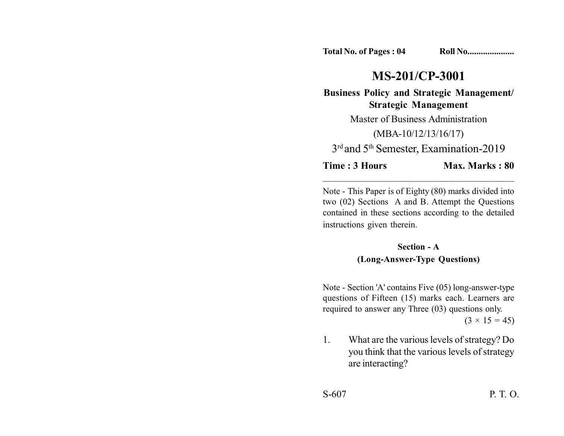**Total No. of Pages : 04 Roll No....................** 

## **MS-201/CP-3001**

**Business Policy and Strategic Management/ Strategic Management**

Master of Business Administration

(MBA-10/12/13/16/17)

3<sup>rd</sup> and 5<sup>th</sup> Semester, Examination-2019

\_\_\_\_\_\_\_\_\_\_\_\_\_\_\_\_\_\_\_\_\_\_\_\_\_\_\_\_\_\_\_\_\_\_\_\_\_\_\_\_\_

**Time : 3 Hours Max. Marks : 80** 

Note - This Paper is of Eighty (80) marks divided into two (02) Sections A and B. Attempt the Questions contained in these sections according to the detailed instructions given therein.

## **Section - A (Long-Answer-Type Questions)**

Note - Section 'A' contains Five (05) long-answer-type questions of Fifteen (15) marks each. Learners are required to answer any Three (03) questions only.

 $(3 \times 15 = 45)$ 

1. What are the various levels of strategy? Do you think that the various levels of strategy are interacting?

S-607 P. T. O.